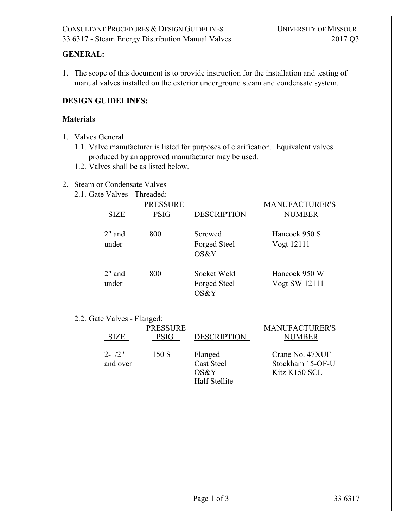# **GENERAL:**

1. The scope of this document is to provide instruction for the installation and testing of manual valves installed on the exterior underground steam and condensate system.

### **DESIGN GUIDELINES:**

#### **Materials**

- 1. Valves General
	- 1.1. Valve manufacturer is listed for purposes of clarification. Equivalent valves produced by an approved manufacturer may be used.
	- 1.2. Valves shall be as listed below.

# 2. Steam or Condensate Valves

2.1. Gate Valves - Threaded:

| <b>PRESSURE</b>    |             |                                     | <b>MANUFACTURER'S</b>          |
|--------------------|-------------|-------------------------------------|--------------------------------|
| <b>SIZE</b>        | <b>PSIG</b> | <b>DESCRIPTION</b>                  | <b>NUMBER</b>                  |
| $2$ " and<br>under | 800         | Screwed<br>Forged Steel<br>OS&Y     | Hancock 950 S<br>Vogt 12111    |
| $2"$ and<br>under  | 800         | Socket Weld<br>Forged Steel<br>OS&Y | Hancock 950 W<br>Vogt SW 12111 |

#### 2.2. Gate Valves - Flanged:

| <b>SIZE</b>            | <b>PRESSURE</b><br><b>PSIG</b> | <b>DESCRIPTION</b>                                    | <b>MANUFACTURER'S</b><br>NUMBER                      |
|------------------------|--------------------------------|-------------------------------------------------------|------------------------------------------------------|
| $2 - 1/2"$<br>and over | 150 S                          | Flanged<br><b>Cast Steel</b><br>OS&Y<br>Half Stellite | Crane No. 47XUF<br>Stockham 15-OF-U<br>Kitz K150 SCL |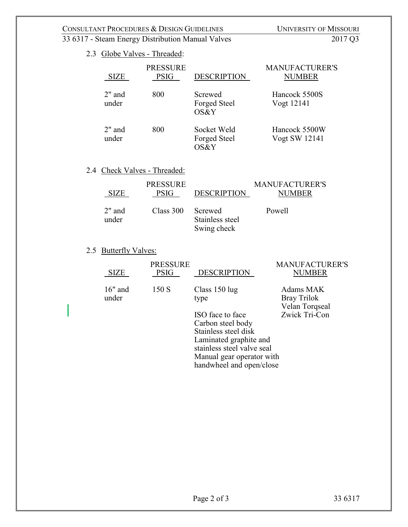# CONSULTANT PROCEDURES & DESIGN GUIDELINES<br>
33 6317 - Steam Energy Distribution Manual Valves<br>
2017 Q3

# 33 6317 - Steam Energy Distribution Manual Valves

# 2.3 Globe Valves - Threaded:

| <b>SIZE</b>        | <b>PRESSURE</b><br><b>PSIG</b> | <b>DESCRIPTION</b>                  | <b>MANUFACTURER'S</b><br><b>NUMBER</b> |
|--------------------|--------------------------------|-------------------------------------|----------------------------------------|
| $2"$ and<br>under  | 800                            | Screwed<br>Forged Steel<br>OS&Y     | Hancock 5500S<br>Vogt 12141            |
| $2$ " and<br>under | 800                            | Socket Weld<br>Forged Steel<br>OS&Y | Hancock 5500W<br>Vogt SW 12141         |

# 2.4 Check Valves - Threaded:

| <b>SIZE</b>     | <b>PRESSURE</b><br><b>PSIG</b> | <b>DESCRIPTION</b>             | MANUFACTURER'S<br><b>NUMBER</b> |
|-----------------|--------------------------------|--------------------------------|---------------------------------|
| 2" and<br>under | Class 300 Screwed              | Stainless steel<br>Swing check | Powell                          |

# 2.5 Butterfly Valves:

| <b>SIZE</b>        | <b>PRESSURE</b><br><b>PSIG</b> | <b>DESCRIPTION</b>         | <b>MANUFACTURER'S</b><br><b>NUMBER</b>     |
|--------------------|--------------------------------|----------------------------|--------------------------------------------|
| $16"$ and<br>under | 150S                           | Class $150 \log$<br>type   | Adams MAK<br>Bray Trilok<br>Velan Torqseal |
|                    |                                | ISO face to face           | Zwick Tri-Con                              |
|                    |                                | Carbon steel body          |                                            |
|                    |                                | Stainless steel disk       |                                            |
|                    |                                | Laminated graphite and     |                                            |
|                    |                                | stainless steel valve seal |                                            |

Manual gear operator with handwheel and open/close